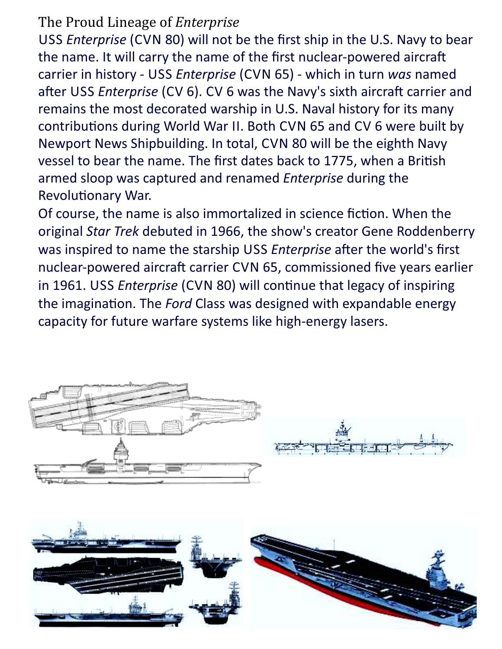## The Proud Lineage of *Enterprise*

USS *Enterprise* (CVN 80) will not be the first ship in the U.S. Navy to bear the name. It will carry the name of the first nuclear-powered aircraft carrier in history - USS Enterprise (CVN 65) - which in turn was named after USS Enterprise (CV 6). CV 6 was the Navy's sixth aircraft carrier and remains the most decorated warship in U.S. Naval history for its many contributions during World War II. Both CVN 65 and CV 6 were built by Newport News Shipbuilding. In total, CVN 80 will be the eighth Navy vessel to bear the name. The first dates back to 1775, when a British armed sloop was captured and renamed *Enterprise* during the Revolutionary War.

Of course, the name is also immortalized in science fiction. When the original Star Trek debuted in 1966, the show's creator Gene Roddenberry was inspired to name the starship USS Enterprise after the world's first nuclear-powered aircraft carrier CVN 65, commissioned five years earlier in 1961. USS Enterprise (CVN 80) will continue that legacy of inspiring the imagination. The *Ford* Class was designed with expandable energy capacity for future warfare systems like high-energy lasers.